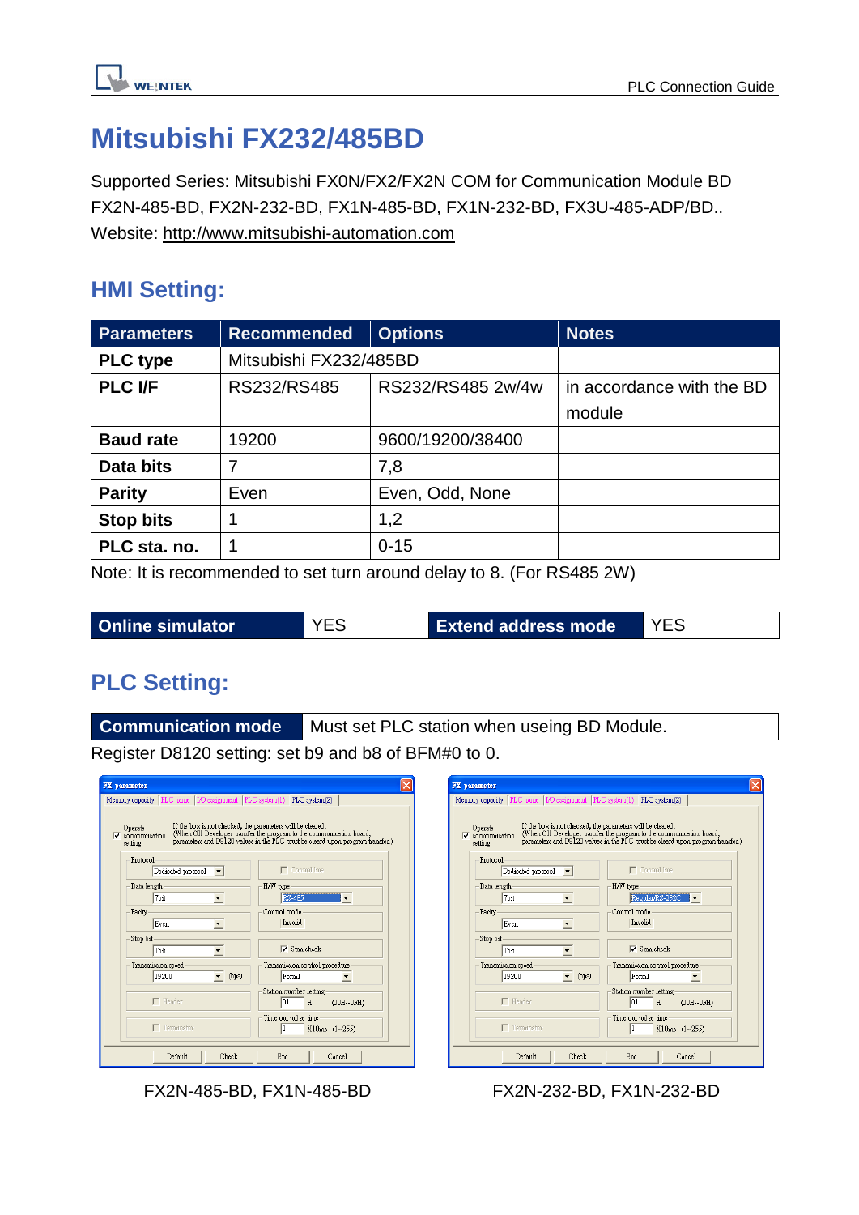

# **Mitsubishi FX232/485BD**

Supported Series: Mitsubishi FX0N/FX2/FX2N COM for Communication Module BD FX2N-485-BD, FX2N-232-BD, FX1N-485-BD, FX1N-232-BD, FX3U-485-ADP/BD.. Website: [http://www.mitsubishi-automation.com](http://www.mitsubishi-automation.com/)

### **HMI Setting:**

| <b>Parameters</b> | <b>Recommended</b>     | <b>Options</b>    | <b>Notes</b>              |
|-------------------|------------------------|-------------------|---------------------------|
| <b>PLC</b> type   | Mitsubishi FX232/485BD |                   |                           |
| <b>PLC I/F</b>    | RS232/RS485            | RS232/RS485 2w/4w | in accordance with the BD |
|                   |                        |                   | module                    |
| <b>Baud rate</b>  | 19200                  | 9600/19200/38400  |                           |
| Data bits         | 7                      | 7,8               |                           |
| <b>Parity</b>     | Even                   | Even, Odd, None   |                           |
| <b>Stop bits</b>  |                        | 1,2               |                           |
| PLC sta. no.      |                        | $0 - 15$          |                           |

Note: It is recommended to set turn around delay to 8. (For RS485 2W)

|  | <b>Online simulator</b> | <b>YES</b> | <b>Extend address mode</b> |  |
|--|-------------------------|------------|----------------------------|--|
|--|-------------------------|------------|----------------------------|--|

### **PLC Setting:**

**Communication mode** Must set PLC station when useing BD Module.

Register D8120 setting: set b9 and b8 of BFM#0 to 0.

| FX parameter                                                                                                                                                                                                                                                                                                                                                                                                                                                                                                                                                                          | FX parameter                                                                                                                                                                                                                                                             |
|---------------------------------------------------------------------------------------------------------------------------------------------------------------------------------------------------------------------------------------------------------------------------------------------------------------------------------------------------------------------------------------------------------------------------------------------------------------------------------------------------------------------------------------------------------------------------------------|--------------------------------------------------------------------------------------------------------------------------------------------------------------------------------------------------------------------------------------------------------------------------|
| Memory capacity   PLC name   I/O assignment   PLC system(1)   PLC system(2)<br>If the box is not checked, the parameters will be cleared.<br>Operate<br>(When GX Developer transfer the program to the communication board, parameters and D8120 values in the PLC must be cleard upon program transfer.)<br>$\nabla$ communication<br>setting                                                                                                                                                                                                                                        | Memory capacity   PLC name   I/O assignmen<br>If the box is not check<br>Operate<br>(When GX Developer<br>$\overline{\mathbf{v}}$ communication<br>parameters and D8120<br>setting                                                                                       |
| Protocol<br>$\Box$ Control line<br>Dedicated protocol<br>$\blacktriangledown$<br>Data length-<br>H/W type<br>7bit<br><b>RS-485</b><br>$\blacktriangledown$<br>۰<br>Control mode<br>Parity<br>Invalid<br>Even<br>$\blacktriangledown$<br>Stop bit<br>$\nabla$ Sum check<br>1bit<br>$\blacktriangledown$<br>Transmission speed<br>Transmission control procedure<br>Form1<br>19200<br>(bps)<br>$\overline{\phantom{a}}$<br>$\overline{\phantom{a}}$<br>Station number setting<br>$\Box$ Header<br> 01 <br>H<br>(00H--0FH)<br>Time out judge time<br>$\Box$ Terminator<br>X10ms (1--255) | Protocol<br>Dedicated protocol<br>$\overline{\phantom{a}}$<br>Data length-<br>7bit<br>$\blacktriangledown$<br>Parity<br>Even<br>$\overline{\phantom{a}}$<br>Stop bit<br>1bit<br>▼<br>Transmission speed<br>$\mathbf{v}$ a<br>19200<br>$\Box$ Header<br>$\Box$ Terminator |
| Check<br>End<br>Default<br>Cancel                                                                                                                                                                                                                                                                                                                                                                                                                                                                                                                                                     | Chec<br>Default                                                                                                                                                                                                                                                          |

| <b>FX</b> parameter                                                                                                                                                                                                                                                               |                                                 |  |  |  |
|-----------------------------------------------------------------------------------------------------------------------------------------------------------------------------------------------------------------------------------------------------------------------------------|-------------------------------------------------|--|--|--|
| Memory capacity   PLC name   I/O assignment   PLC system(1) PLC system(2)                                                                                                                                                                                                         |                                                 |  |  |  |
| If the box is not checked, the parameters will be cleared.<br>Operate<br>(When GX Developer transfer the program to the communication board,<br>$\overline{\mathbf{v}}$ communication<br>parameters and D8120 values in the PLC must be cleard upon program transfer.)<br>setting |                                                 |  |  |  |
| Protocol<br>Dedicated protocol                                                                                                                                                                                                                                                    | $\Box$ Control line                             |  |  |  |
| Data length-<br>7bit                                                                                                                                                                                                                                                              | H/W type<br>Regular/RS-232C                     |  |  |  |
| Parity<br>Even.                                                                                                                                                                                                                                                                   | Control mode<br>Invalid                         |  |  |  |
| Stop bit<br>1 <sub>bit</sub>                                                                                                                                                                                                                                                      | Sum check<br>ы                                  |  |  |  |
| Transmission speed<br>19200<br>(bps)                                                                                                                                                                                                                                              | Transmission control procedure<br>Form1         |  |  |  |
| $\Box$ Header                                                                                                                                                                                                                                                                     | Station number setting<br>01<br>H<br>(00H--0FH) |  |  |  |
| $\Box$ Terminator                                                                                                                                                                                                                                                                 | Time out judge time<br>1<br>X10ms (1--255)      |  |  |  |
| Default<br>Check                                                                                                                                                                                                                                                                  | End<br>Cancel                                   |  |  |  |

FX2N-485-BD, FX1N-485-BD FX2N-232-BD, FX1N-232-BD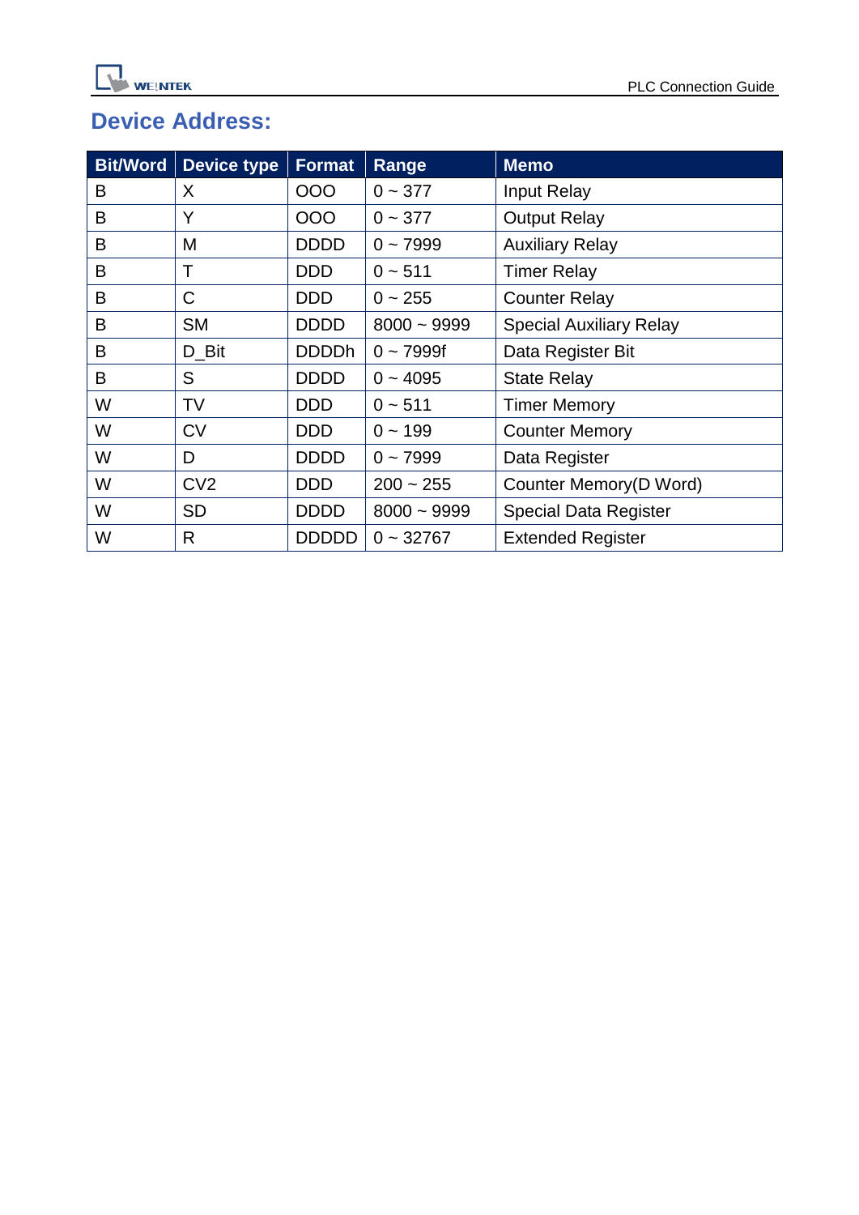## **Device Address:**

| <b>Bit/Word</b> | <b>Device type</b> | <b>Format</b> | Range         | <b>Memo</b>                    |
|-----------------|--------------------|---------------|---------------|--------------------------------|
| B               | X                  | 000           | $0 - 377$     | <b>Input Relay</b>             |
| B               | Y                  | 000           | $0 - 377$     | <b>Output Relay</b>            |
| B               | M                  | <b>DDDD</b>   | $0 - 7999$    | <b>Auxiliary Relay</b>         |
| B               | Τ                  | <b>DDD</b>    | $0 - 511$     | <b>Timer Relay</b>             |
| B               | C                  | <b>DDD</b>    | $0 - 255$     | <b>Counter Relay</b>           |
| B               | <b>SM</b>          | <b>DDDD</b>   | $8000 - 9999$ | <b>Special Auxiliary Relay</b> |
| B               | D_Bit              | <b>DDDDh</b>  | $0 - 7999f$   | Data Register Bit              |
| B               | S                  | <b>DDDD</b>   | $0 - 4095$    | <b>State Relay</b>             |
| W               | TV                 | <b>DDD</b>    | $0 - 511$     | <b>Timer Memory</b>            |
| W               | <b>CV</b>          | <b>DDD</b>    | $0 - 199$     | <b>Counter Memory</b>          |
| W               | D                  | <b>DDDD</b>   | $0 - 7999$    | Data Register                  |
| W               | CV <sub>2</sub>    | <b>DDD</b>    | $200 - 255$   | Counter Memory(D Word)         |
| W               | <b>SD</b>          | <b>DDDD</b>   | $8000 - 9999$ | <b>Special Data Register</b>   |
| W               | R                  | <b>DDDDD</b>  | $0 - 32767$   | <b>Extended Register</b>       |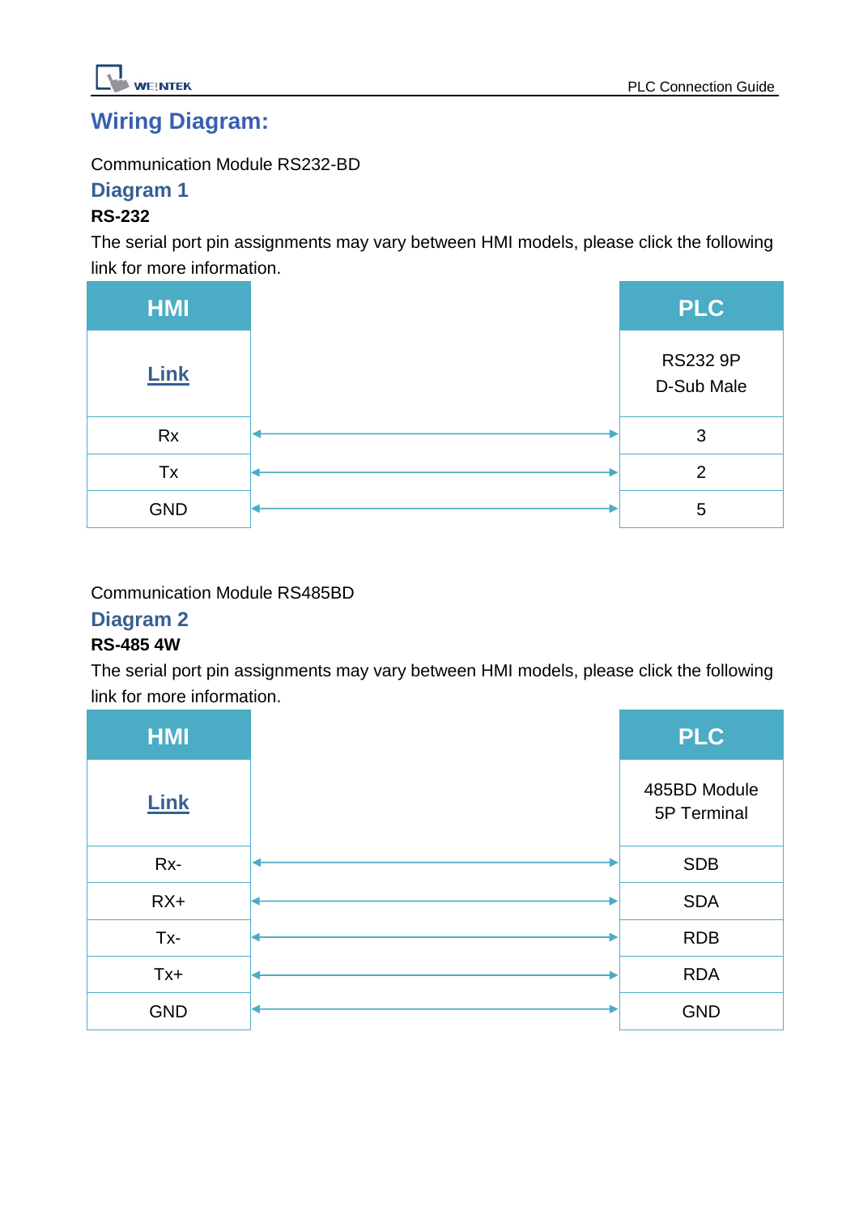

### **Wiring Diagram:**

Communication Module RS232-BD

#### **Diagram 1**

#### **RS-232**

The serial port pin assignments may vary between HMI models, please click the following link for more information.

| <b>HMI</b>  | <b>PLC</b>                    |
|-------------|-------------------------------|
| <b>Link</b> | <b>RS232 9P</b><br>D-Sub Male |
| <b>Rx</b>   | 3                             |
| Tx          | 2                             |
| <b>GND</b>  | 5                             |

#### Communication Module RS485BD

#### **Diagram 2**

#### **RS-485 4W**

The serial port pin assignments may vary between HMI models, please click the following link for more information.

| <b>HMI</b>  | <b>PLC</b>                  |
|-------------|-----------------------------|
| <b>Link</b> | 485BD Module<br>5P Terminal |
| Rx-         | <b>SDB</b>                  |
| $RX+$       | <b>SDA</b>                  |
| Tx-         | <b>RDB</b>                  |
| $Tx +$      | <b>RDA</b>                  |
| <b>GND</b>  | <b>GND</b>                  |